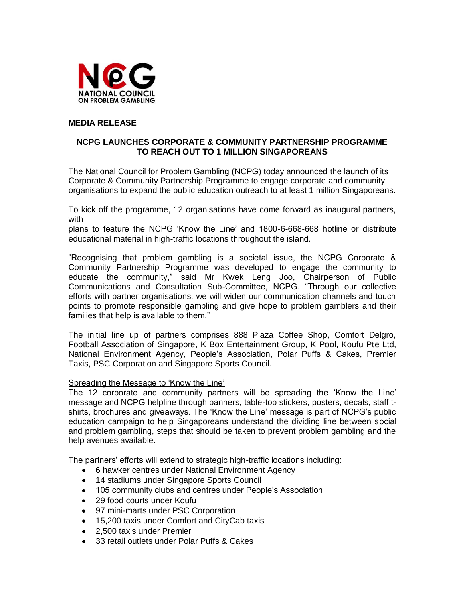

# **MEDIA RELEASE**

## **NCPG LAUNCHES CORPORATE & COMMUNITY PARTNERSHIP PROGRAMME TO REACH OUT TO 1 MILLION SINGAPOREANS**

The National Council for Problem Gambling (NCPG) today announced the launch of its Corporate & Community Partnership Programme to engage corporate and community organisations to expand the public education outreach to at least 1 million Singaporeans.

To kick off the programme, 12 organisations have come forward as inaugural partners, with

plans to feature the NCPG "Know the Line" and 1800-6-668-668 hotline or distribute educational material in high-traffic locations throughout the island.

"Recognising that problem gambling is a societal issue, the NCPG Corporate & Community Partnership Programme was developed to engage the community to educate the community," said Mr Kwek Leng Joo, Chairperson of Public Communications and Consultation Sub-Committee, NCPG. "Through our collective efforts with partner organisations, we will widen our communication channels and touch points to promote responsible gambling and give hope to problem gamblers and their families that help is available to them."

The initial line up of partners comprises 888 Plaza Coffee Shop, Comfort Delgro, Football Association of Singapore, K Box Entertainment Group, K Pool, Koufu Pte Ltd, National Environment Agency, People"s Association, Polar Puffs & Cakes, Premier Taxis, PSC Corporation and Singapore Sports Council.

#### Spreading the Message to "Know the Line"

The 12 corporate and community partners will be spreading the "Know the Line" message and NCPG helpline through banners, table-top stickers, posters, decals, staff tshirts, brochures and giveaways. The "Know the Line" message is part of NCPG"s public education campaign to help Singaporeans understand the dividing line between social and problem gambling, steps that should be taken to prevent problem gambling and the help avenues available.

The partners' efforts will extend to strategic high-traffic locations including:

- 6 hawker centres under National Environment Agency
- 14 stadiums under Singapore Sports Council
- 105 community clubs and centres under People's Association
- 29 food courts under Koufu
- 97 mini-marts under PSC Corporation
- 15,200 taxis under Comfort and CityCab taxis
- 2,500 taxis under Premier
- 33 retail outlets under Polar Puffs & Cakes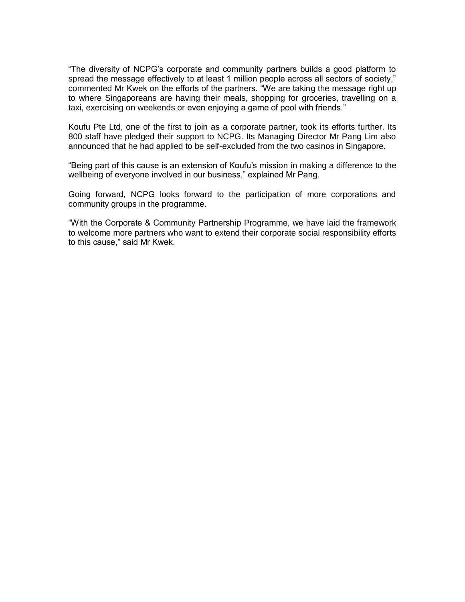"The diversity of NCPG"s corporate and community partners builds a good platform to spread the message effectively to at least 1 million people across all sectors of society," commented Mr Kwek on the efforts of the partners. "We are taking the message right up to where Singaporeans are having their meals, shopping for groceries, travelling on a taxi, exercising on weekends or even enjoying a game of pool with friends."

Koufu Pte Ltd, one of the first to join as a corporate partner, took its efforts further. Its 800 staff have pledged their support to NCPG. Its Managing Director Mr Pang Lim also announced that he had applied to be self-excluded from the two casinos in Singapore.

"Being part of this cause is an extension of Koufu"s mission in making a difference to the wellbeing of everyone involved in our business." explained Mr Pang.

Going forward, NCPG looks forward to the participation of more corporations and community groups in the programme.

"With the Corporate & Community Partnership Programme, we have laid the framework to welcome more partners who want to extend their corporate social responsibility efforts to this cause," said Mr Kwek.